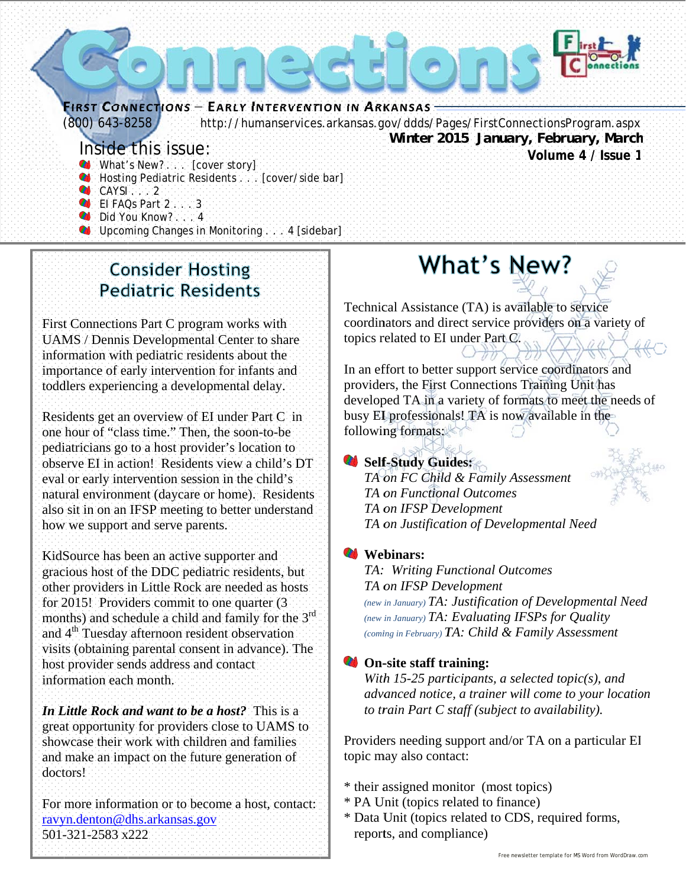

- Hosting Pediatric Residents : [cover/side bar]
- $CAYSI$  . 2
- **OFFICIACS Part 2.1.13**
- Did You Know? 4.
- Upcoming Changes in Monitoring.... 4 [sidebar]

**Consider Hosting Pediatric Residents** 

First Connections Part C program works with **UAMS** / Dennis Developmental Center to share information with pediatric residents about the importance of early intervention for infants and toddlers experiencing a developmental delay.

Residents get an overview of EI under Part C in one hour of "class time." Then, the soon-to-be pediatricians go to a host provider's location to observe EI in action! Residents view a child's DT eval or early intervention session in the child's natural environment (daycare or home). Residents also sit in on an IFSP meeting to better understand how we support and serve parents.

KidSource has been an active supporter and gracious host of the DDC pediatric residents, but other providers in Little Rock are needed as hosts for 2015! Providers commit to one quarter (3) months) and schedule a child and family for the 3rd and 4<sup>th</sup> Tuesday afternoon resident observation visits (obtaining parental consent in advance). The host provider sends address and contact information each month.

In Little Rock and want to be a host? This is a great opportunity for providers close to UAMS to showcase their work with children and families and make an impact on the future generation of doctors!

For more information or to become a host, contact: ravyn.denton@dhs.arkansas.gov 501-321-2583 x222

# What's New?

Technical Assistance (TA) is available to service coordinators and direct service providers on a variety of topics related to EI under Part C.

In an effort to better support service coordinators and providers, the First Connections Training Unit has developed TA in a variety of formats to meet the needs of busy EI professionals! TA is now available in the following formats:

#### Self-Study Guides:



TA on FC Child & Family Assessment TA on Functional Outcomes TA on IFSP Development TA on Justification of Developmental Need

#### **Webinars:**

TA: Writing Functional Outcomes TA on IFSP Development (new in January) TA: Justification of Developmental Need (new in January) TA: Evaluating IFSPs for Quality (coming in February) TA: Child & Family Assessment

#### On-site staff training:

With 15-25 participants, a selected topic(s), and advanced notice, a trainer will come to your location to train Part C staff (subject to availability).

Providers needing support and/or TA on a particular EI topic may also contact:

- \* their assigned monitor (most topics)
- \* PA Unit (topics related to finance)
- \* Data Unit (topics related to CDS, required forms, reports, and compliance)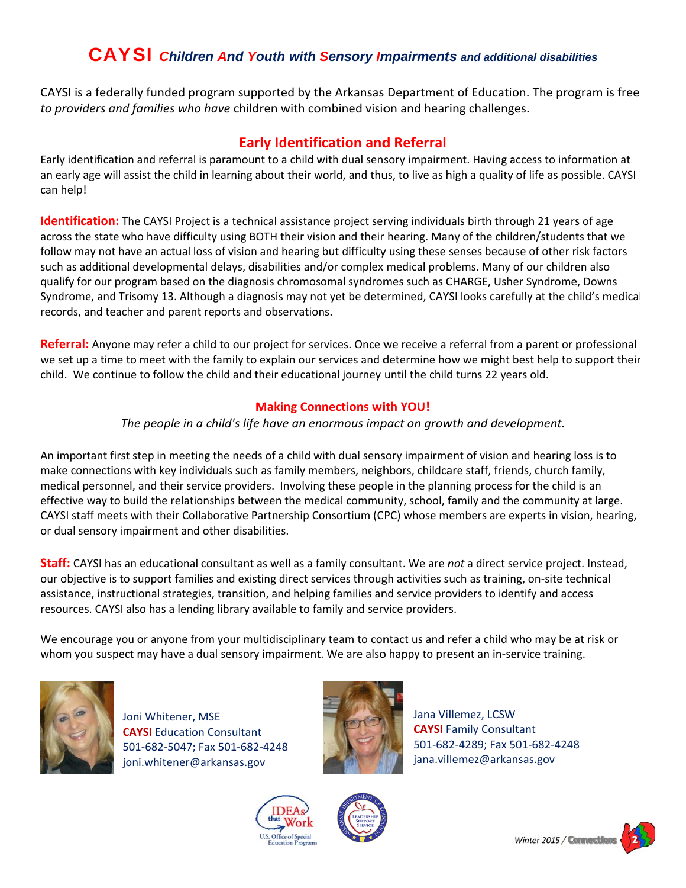### **CAYSI** Children And Youth with Sensory Impairments and additional disabilities

CAYSI is a federally funded program supported by the Arkansas Department of Education. The program is free to providers and families who have children with combined vision and hearing challenges.

#### **Early Identification and Referral**

Early identification and referral is paramount to a child with dual sensory impairment. Having access to information at an early age will assist the child in learning about their world, and thus, to live as high a quality of life as possible. CAYSI can help!

Identification: The CAYSI Project is a technical assistance project serving individuals birth through 21 years of age across the state who have difficulty using BOTH their vision and their hearing. Many of the children/students that we follow may not have an actual loss of vision and hearing but difficulty using these senses because of other risk factors such as additional developmental delays, disabilities and/or complex medical problems. Many of our children also qualify for our program based on the diagnosis chromosomal syndromes such as CHARGE, Usher Syndrome, Downs Syndrome, and Trisomy 13. Although a diagnosis may not yet be determined, CAYSI looks carefully at the child's medical records, and teacher and parent reports and observations.

Referral: Anyone may refer a child to our project for services. Once we receive a referral from a parent or professional we set up a time to meet with the family to explain our services and determine how we might best help to support their child. We continue to follow the child and their educational journey until the child turns 22 years old.

#### **Making Connections with YOU!**

#### The people in a child's life have an enormous impact on growth and development.

An important first step in meeting the needs of a child with dual sensory impairment of vision and hearing loss is to make connections with key individuals such as family members, neighbors, childcare staff, friends, church family, medical personnel, and their service providers. Involving these people in the planning process for the child is an effective way to build the relationships between the medical community, school, family and the community at large. CAYSI staff meets with their Collaborative Partnership Consortium (CPC) whose members are experts in vision, hearing, or dual sensory impairment and other disabilities.

Staff: CAYSI has an educational consultant as well as a family consultant. We are not a direct service project. Instead, our objective is to support families and existing direct services through activities such as training, on-site technical assistance, instructional strategies, transition, and helping families and service providers to identify and access resources. CAYSI also has a lending library available to family and service providers.

We encourage you or anyone from your multidisciplinary team to contact us and refer a child who may be at risk or whom you suspect may have a dual sensory impairment. We are also happy to present an in-service training.



Joni Whitener, MSE **CAYSI** Education Consultant 501-682-5047; Fax 501-682-4248 joni.whitener@arkansas.gov



Jana Villemez, LCSW **CAYSI** Family Consultant 501-682-4289; Fax 501-682-4248 jana.villemez@arkansas.gov





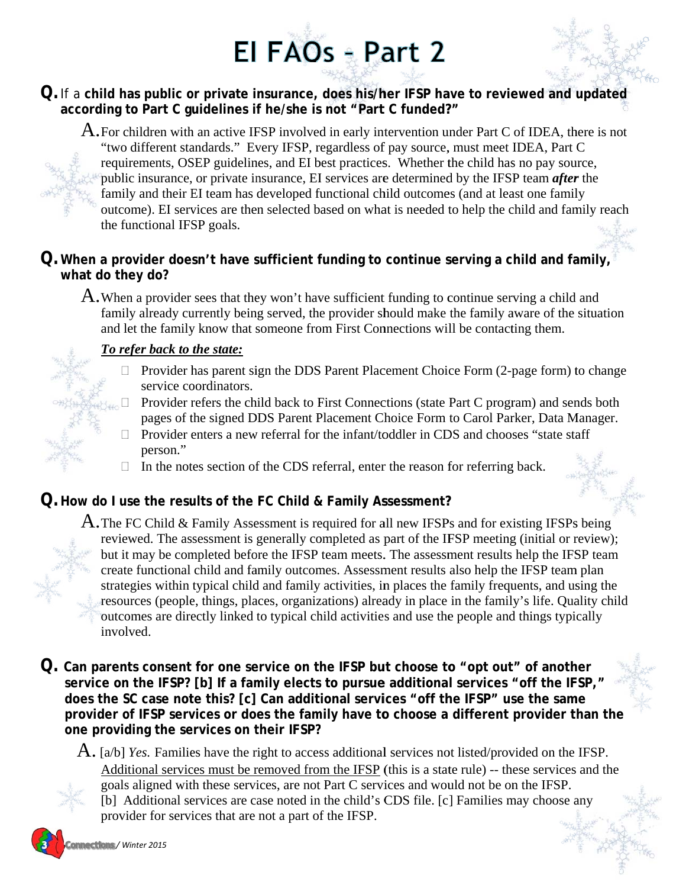# El FAOs - Part 2



#### Q. If a child has public or private insurance, does his/her IFSP have to reviewed and updated according to Part C quidelines if he/she is not "Part C funded?"

A. For children with an active IFSP involved in early intervention under Part C of IDEA, there is not "two different standards." Every IFSP, regardless of pay source, must meet IDEA, Part C requirements, OSEP guidelines, and EI best practices. Whether the child has no pay source, public insurance, or private insurance, EI services are determined by the IFSP team *after* the family and their EI team has developed functional child outcomes (and at least one family outcome). EI services are then selected based on what is needed to help the child and family reach the functional IFSP goals.

#### $Q$ . When a provider doesn't have sufficient funding to continue serving a child and family, what do they do?

A. When a provider sees that they won't have sufficient funding to continue serving a child and family already currently being served, the provider should make the family aware of the situation and let the family know that someone from First Connections will be contacting them.

#### To refer back to the state:

- $\Box$  Provider has parent sign the DDS Parent Placement Choice Form (2-page form) to change service coordinators.
- Provider refers the child back to First Connections (state Part C program) and sends both  $\Box$ pages of the signed DDS Parent Placement Choice Form to Carol Parker, Data Manager.
- $\Box$  Provider enters a new referral for the infant/toddler in CDS and chooses "state staff" person."
- $\Box$  In the notes section of the CDS referral, enter the reason for referring back.

#### ${\mathsf Q}.$  How do I use the results of the FC Child & Family Assessment?

A. The FC Child & Family Assessment is required for all new IFSPs and for existing IFSPs being reviewed. The assessment is generally completed as part of the IFSP meeting (initial or review); but it may be completed before the IFSP team meets. The assessment results help the IFSP team create functional child and family outcomes. Assessment results also help the IFSP team plan strategies within typical child and family activities, in places the family frequents, and using the resources (people, things, places, organizations) already in place in the family's life. Quality child outcomes are directly linked to typical child activities and use the people and things typically involved.

- ${\mathsf Q}.$  Can parents consent for one service on the IFSP but choose to "opt out" of another service on the IFSP? [b] If a family elects to pursue additional services "off the IFSP," does the SC case note this? [c] Can additional services "off the IFSP" use the same provider of IFSP services or does the family have to choose a different provider than the one providing the services on their IFSP?
	- $\hat{A}$ . [a/b] Yes. Families have the right to access additional services not listed/provided on the IFSP. Additional services must be removed from the IFSP (this is a state rule) -- these services and the goals aligned with these services, are not Part C services and would not be on the IFSP. [b] Additional services are case noted in the child's CDS file. [c] Families may choose any provider for services that are not a part of the IFSP.